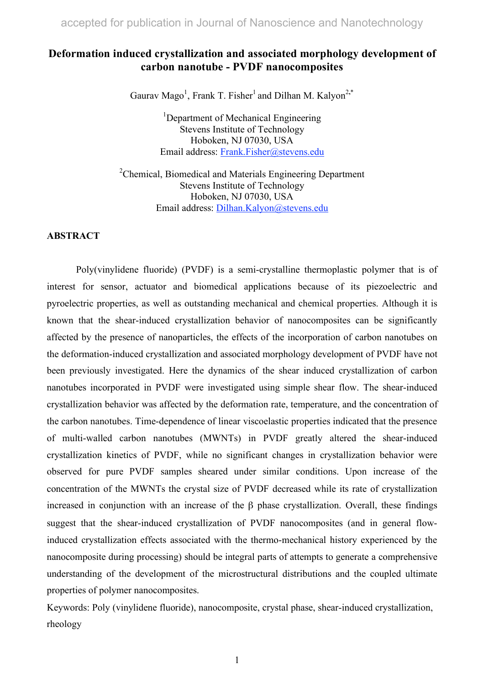## **Deformation induced crystallization and associated morphology development of carbon nanotube - PVDF nanocomposites**

Gaurav Mago<sup>1</sup>, Frank T. Fisher<sup>1</sup> and Dilhan M. Kalyon<sup>2,\*</sup>

<sup>1</sup>Department of Mechanical Engineering Stevens Institute of Technology Hoboken, NJ 07030, USA Email address: Frank.Fisher@stevens.edu

<sup>2</sup>Chemical, Biomedical and Materials Engineering Department Stevens Institute of Technology Hoboken, NJ 07030, USA Email address: Dilhan.Kalyon@stevens.edu

### **ABSTRACT**

Poly(vinylidene fluoride) (PVDF) is a semi-crystalline thermoplastic polymer that is of interest for sensor, actuator and biomedical applications because of its piezoelectric and pyroelectric properties, as well as outstanding mechanical and chemical properties. Although it is known that the shear-induced crystallization behavior of nanocomposites can be significantly affected by the presence of nanoparticles, the effects of the incorporation of carbon nanotubes on the deformation-induced crystallization and associated morphology development of PVDF have not been previously investigated. Here the dynamics of the shear induced crystallization of carbon nanotubes incorporated in PVDF were investigated using simple shear flow. The shear-induced crystallization behavior was affected by the deformation rate, temperature, and the concentration of the carbon nanotubes. Time-dependence of linear viscoelastic properties indicated that the presence of multi-walled carbon nanotubes (MWNTs) in PVDF greatly altered the shear-induced crystallization kinetics of PVDF, while no significant changes in crystallization behavior were observed for pure PVDF samples sheared under similar conditions. Upon increase of the concentration of the MWNTs the crystal size of PVDF decreased while its rate of crystallization increased in conjunction with an increase of the β phase crystallization. Overall, these findings suggest that the shear-induced crystallization of PVDF nanocomposites (and in general flowinduced crystallization effects associated with the thermo-mechanical history experienced by the nanocomposite during processing) should be integral parts of attempts to generate a comprehensive understanding of the development of the microstructural distributions and the coupled ultimate properties of polymer nanocomposites.

Keywords: Poly (vinylidene fluoride), nanocomposite, crystal phase, shear-induced crystallization, rheology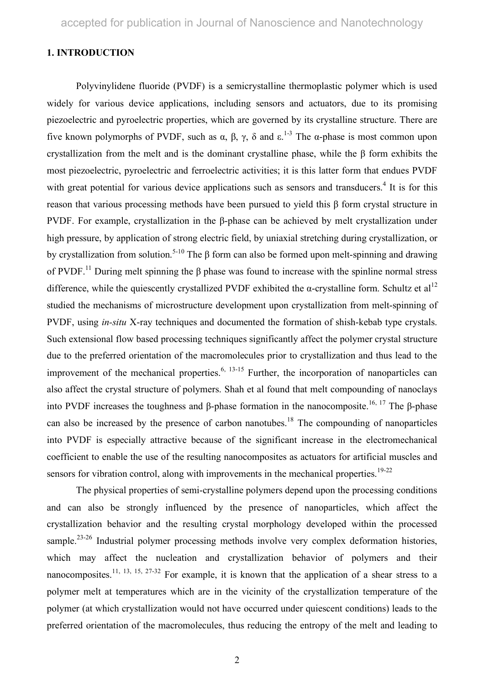### **1. INTRODUCTION**

Polyvinylidene fluoride (PVDF) is a semicrystalline thermoplastic polymer which is used widely for various device applications, including sensors and actuators, due to its promising piezoelectric and pyroelectric properties, which are governed by its crystalline structure. There are five known polymorphs of PVDF, such as  $\alpha$ ,  $\beta$ ,  $\gamma$ ,  $\delta$  and  $\epsilon$ .<sup>1-3</sup> The α-phase is most common upon crystallization from the melt and is the dominant crystalline phase, while the β form exhibits the most piezoelectric, pyroelectric and ferroelectric activities; it is this latter form that endues PVDF with great potential for various device applications such as sensors and transducers.<sup>4</sup> It is for this reason that various processing methods have been pursued to yield this β form crystal structure in PVDF. For example, crystallization in the β-phase can be achieved by melt crystallization under high pressure, by application of strong electric field, by uniaxial stretching during crystallization, or by crystallization from solution.<sup>5-10</sup> The β form can also be formed upon melt-spinning and drawing of PVDF.<sup>11</sup> During melt spinning the  $\beta$  phase was found to increase with the spinline normal stress difference, while the quiescently crystallized PVDF exhibited the  $\alpha$ -crystalline form. Schultz et al<sup>12</sup> studied the mechanisms of microstructure development upon crystallization from melt-spinning of PVDF, using *in-situ* X-ray techniques and documented the formation of shish-kebab type crystals. Such extensional flow based processing techniques significantly affect the polymer crystal structure due to the preferred orientation of the macromolecules prior to crystallization and thus lead to the improvement of the mechanical properties.<sup>6, 13-15</sup> Further, the incorporation of nanoparticles can also affect the crystal structure of polymers. Shah et al found that melt compounding of nanoclays into PVDF increases the toughness and β-phase formation in the nanocomposite.<sup>16, 17</sup> The β-phase can also be increased by the presence of carbon nanotubes.<sup>18</sup> The compounding of nanoparticles into PVDF is especially attractive because of the significant increase in the electromechanical coefficient to enable the use of the resulting nanocomposites as actuators for artificial muscles and sensors for vibration control, along with improvements in the mechanical properties.<sup>19-22</sup>

The physical properties of semi-crystalline polymers depend upon the processing conditions and can also be strongly influenced by the presence of nanoparticles, which affect the crystallization behavior and the resulting crystal morphology developed within the processed sample.<sup>23-26</sup> Industrial polymer processing methods involve very complex deformation histories, which may affect the nucleation and crystallization behavior of polymers and their nanocomposites.<sup>11, 13, 15, 27-32</sup> For example, it is known that the application of a shear stress to a polymer melt at temperatures which are in the vicinity of the crystallization temperature of the polymer (at which crystallization would not have occurred under quiescent conditions) leads to the preferred orientation of the macromolecules, thus reducing the entropy of the melt and leading to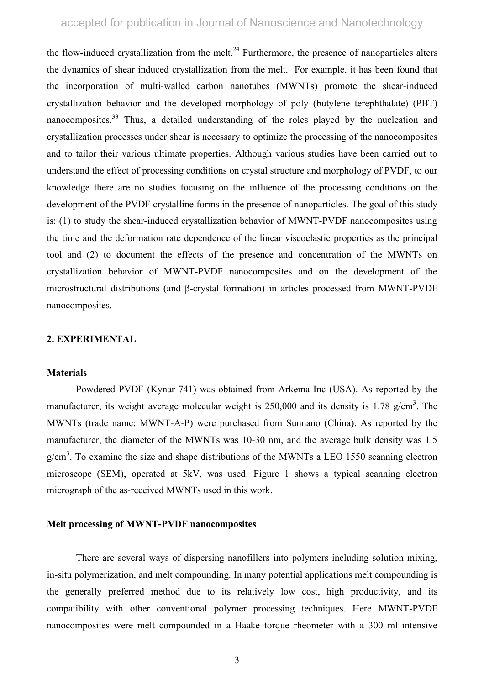the flow-induced crystallization from the melt.<sup>24</sup> Furthermore, the presence of nanoparticles alters the dynamics of shear induced crystallization from the melt. For example, it has been found that the incorporation of multi-walled carbon nanotubes (MWNTs) promote the shear-induced crystallization behavior and the developed morphology of poly (butylene terephthalate) (PBT) nanocomposites.<sup>33</sup> Thus, a detailed understanding of the roles played by the nucleation and crystallization processes under shear is necessary to optimize the processing of the nanocomposites and to tailor their various ultimate properties. Although various studies have been carried out to understand the effect of processing conditions on crystal structure and morphology of PVDF, to our knowledge there are no studies focusing on the influence of the processing conditions on the development of the PVDF crystalline forms in the presence of nanoparticles. The goal of this study is: (1) to study the shear-induced crystallization behavior of MWNT-PVDF nanocomposites using the time and the deformation rate dependence of the linear viscoelastic properties as the principal tool and (2) to document the effects of the presence and concentration of the MWNTs on crystallization behavior of MWNT-PVDF nanocomposites and on the development of the microstructural distributions (and β-crystal formation) in articles processed from MWNT-PVDF nanocomposites.

#### **2. EXPERIMENTAL**

#### **Materials**

Powdered PVDF (Kynar 741) was obtained from Arkema Inc (USA). As reported by the manufacturer, its weight average molecular weight is  $250,000$  and its density is 1.78 g/cm<sup>3</sup>. The MWNTs (trade name: MWNT-A-P) were purchased from Sunnano (China). As reported by the manufacturer, the diameter of the MWNTs was 10-30 nm, and the average bulk density was 1.5  $g/cm<sup>3</sup>$ . To examine the size and shape distributions of the MWNTs a LEO 1550 scanning electron microscope (SEM), operated at 5kV, was used. Figure 1 shows a typical scanning electron micrograph of the as-received MWNTs used in this work.

### **Melt processing of MWNT-PVDF nanocomposites**

There are several ways of dispersing nanofillers into polymers including solution mixing, in-situ polymerization, and melt compounding. In many potential applications melt compounding is the generally preferred method due to its relatively low cost, high productivity, and its compatibility with other conventional polymer processing techniques. Here MWNT-PVDF nanocomposites were melt compounded in a Haake torque rheometer with a 300 ml intensive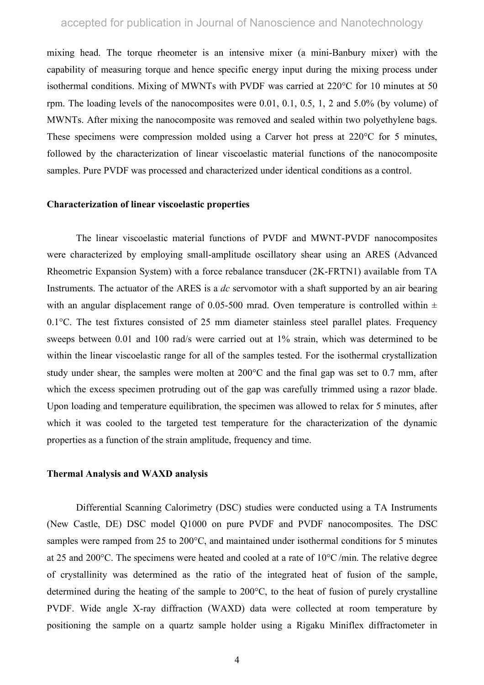mixing head. The torque rheometer is an intensive mixer (a mini-Banbury mixer) with the capability of measuring torque and hence specific energy input during the mixing process under isothermal conditions. Mixing of MWNTs with PVDF was carried at 220°C for 10 minutes at 50 rpm. The loading levels of the nanocomposites were 0.01, 0.1, 0.5, 1, 2 and 5.0% (by volume) of MWNTs. After mixing the nanocomposite was removed and sealed within two polyethylene bags. These specimens were compression molded using a Carver hot press at 220°C for 5 minutes, followed by the characterization of linear viscoelastic material functions of the nanocomposite samples. Pure PVDF was processed and characterized under identical conditions as a control.

#### **Characterization of linear viscoelastic properties**

The linear viscoelastic material functions of PVDF and MWNT-PVDF nanocomposites were characterized by employing small-amplitude oscillatory shear using an ARES (Advanced Rheometric Expansion System) with a force rebalance transducer (2K-FRTN1) available from TA Instruments. The actuator of the ARES is a *dc* servomotor with a shaft supported by an air bearing with an angular displacement range of 0.05-500 mrad. Oven temperature is controlled within  $\pm$ 0.1°C. The test fixtures consisted of 25 mm diameter stainless steel parallel plates. Frequency sweeps between 0.01 and 100 rad/s were carried out at 1% strain, which was determined to be within the linear viscoelastic range for all of the samples tested. For the isothermal crystallization study under shear, the samples were molten at 200°C and the final gap was set to 0.7 mm, after which the excess specimen protruding out of the gap was carefully trimmed using a razor blade. Upon loading and temperature equilibration, the specimen was allowed to relax for 5 minutes, after which it was cooled to the targeted test temperature for the characterization of the dynamic properties as a function of the strain amplitude, frequency and time.

#### **Thermal Analysis and WAXD analysis**

Differential Scanning Calorimetry (DSC) studies were conducted using a TA Instruments (New Castle, DE) DSC model Q1000 on pure PVDF and PVDF nanocomposites. The DSC samples were ramped from 25 to 200°C, and maintained under isothermal conditions for 5 minutes at 25 and 200°C. The specimens were heated and cooled at a rate of 10°C /min. The relative degree of crystallinity was determined as the ratio of the integrated heat of fusion of the sample, determined during the heating of the sample to 200°C, to the heat of fusion of purely crystalline PVDF. Wide angle X-ray diffraction (WAXD) data were collected at room temperature by positioning the sample on a quartz sample holder using a Rigaku Miniflex diffractometer in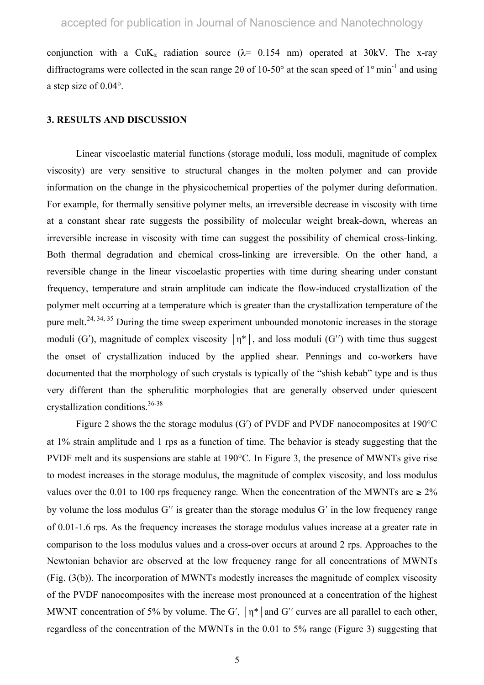conjunction with a CuK<sub>a</sub> radiation source ( $\lambda$ = 0.154 nm) operated at 30kV. The x-ray diffractograms were collected in the scan range 2 $\theta$  of 10-50° at the scan speed of 1° min<sup>-1</sup> and using a step size of 0.04°.

#### **3. RESULTS AND DISCUSSION**

Linear viscoelastic material functions (storage moduli, loss moduli, magnitude of complex viscosity) are very sensitive to structural changes in the molten polymer and can provide information on the change in the physicochemical properties of the polymer during deformation. For example, for thermally sensitive polymer melts, an irreversible decrease in viscosity with time at a constant shear rate suggests the possibility of molecular weight break-down, whereas an irreversible increase in viscosity with time can suggest the possibility of chemical cross-linking. Both thermal degradation and chemical cross-linking are irreversible. On the other hand, a reversible change in the linear viscoelastic properties with time during shearing under constant frequency, temperature and strain amplitude can indicate the flow-induced crystallization of the polymer melt occurring at a temperature which is greater than the crystallization temperature of the pure melt.<sup>24, 34, 35</sup> During the time sweep experiment unbounded monotonic increases in the storage moduli (G'), magnitude of complex viscosity  $|\eta^*|$ , and loss moduli (G'') with time thus suggest the onset of crystallization induced by the applied shear. Pennings and co-workers have documented that the morphology of such crystals is typically of the "shish kebab" type and is thus very different than the spherulitic morphologies that are generally observed under quiescent crystallization conditions.36-38

Figure 2 shows the the storage modulus (G′) of PVDF and PVDF nanocomposites at 190°C at 1% strain amplitude and 1 rps as a function of time. The behavior is steady suggesting that the PVDF melt and its suspensions are stable at 190°C. In Figure 3, the presence of MWNTs give rise to modest increases in the storage modulus, the magnitude of complex viscosity, and loss modulus values over the 0.01 to 100 rps frequency range. When the concentration of the MWNTs are  $\geq 2\%$ by volume the loss modulus G′′ is greater than the storage modulus G′ in the low frequency range of 0.01-1.6 rps. As the frequency increases the storage modulus values increase at a greater rate in comparison to the loss modulus values and a cross-over occurs at around 2 rps. Approaches to the Newtonian behavior are observed at the low frequency range for all concentrations of MWNTs (Fig. (3(b)). The incorporation of MWNTs modestly increases the magnitude of complex viscosity of the PVDF nanocomposites with the increase most pronounced at a concentration of the highest MWNT concentration of 5% by volume. The G',  $|\eta^*|$  and G'' curves are all parallel to each other, regardless of the concentration of the MWNTs in the 0.01 to 5% range (Figure 3) suggesting that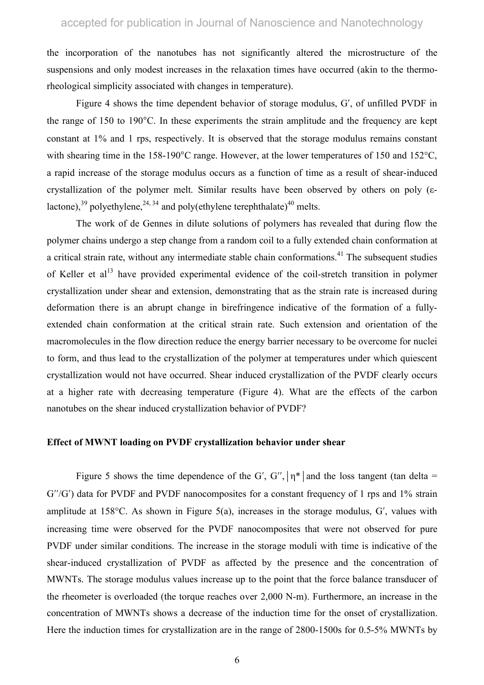the incorporation of the nanotubes has not significantly altered the microstructure of the suspensions and only modest increases in the relaxation times have occurred (akin to the thermorheological simplicity associated with changes in temperature).

Figure 4 shows the time dependent behavior of storage modulus, G′, of unfilled PVDF in the range of 150 to 190 $^{\circ}$ C. In these experiments the strain amplitude and the frequency are kept constant at 1% and 1 rps, respectively. It is observed that the storage modulus remains constant with shearing time in the 158-190°C range. However, at the lower temperatures of 150 and 152°C, a rapid increase of the storage modulus occurs as a function of time as a result of shear-induced crystallization of the polymer melt. Similar results have been observed by others on poly (εlactone),<sup>39</sup> polyethylene,<sup>24, 34</sup> and poly(ethylene terephthalate)<sup>40</sup> melts.

The work of de Gennes in dilute solutions of polymers has revealed that during flow the polymer chains undergo a step change from a random coil to a fully extended chain conformation at a critical strain rate, without any intermediate stable chain conformations.<sup>41</sup> The subsequent studies of Keller et al<sup>13</sup> have provided experimental evidence of the coil-stretch transition in polymer crystallization under shear and extension, demonstrating that as the strain rate is increased during deformation there is an abrupt change in birefringence indicative of the formation of a fullyextended chain conformation at the critical strain rate. Such extension and orientation of the macromolecules in the flow direction reduce the energy barrier necessary to be overcome for nuclei to form, and thus lead to the crystallization of the polymer at temperatures under which quiescent crystallization would not have occurred. Shear induced crystallization of the PVDF clearly occurs at a higher rate with decreasing temperature (Figure 4). What are the effects of the carbon nanotubes on the shear induced crystallization behavior of PVDF?

### **Effect of MWNT loading on PVDF crystallization behavior under shear**

Figure 5 shows the time dependence of the G', G'',  $\vert \eta^* \vert$  and the loss tangent (tan delta = G''/G') data for PVDF and PVDF nanocomposites for a constant frequency of 1 rps and 1% strain amplitude at 158°C. As shown in Figure 5(a), increases in the storage modulus, G′, values with increasing time were observed for the PVDF nanocomposites that were not observed for pure PVDF under similar conditions. The increase in the storage moduli with time is indicative of the shear-induced crystallization of PVDF as affected by the presence and the concentration of MWNTs. The storage modulus values increase up to the point that the force balance transducer of the rheometer is overloaded (the torque reaches over 2,000 N-m). Furthermore, an increase in the concentration of MWNTs shows a decrease of the induction time for the onset of crystallization. Here the induction times for crystallization are in the range of 2800-1500s for 0.5-5% MWNTs by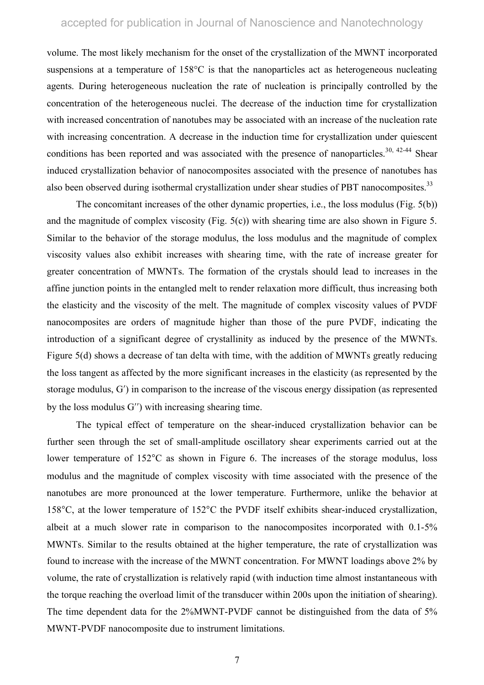volume. The most likely mechanism for the onset of the crystallization of the MWNT incorporated suspensions at a temperature of 158 °C is that the nanoparticles act as heterogeneous nucleating agents. During heterogeneous nucleation the rate of nucleation is principally controlled by the concentration of the heterogeneous nuclei. The decrease of the induction time for crystallization with increased concentration of nanotubes may be associated with an increase of the nucleation rate with increasing concentration. A decrease in the induction time for crystallization under quiescent conditions has been reported and was associated with the presence of nanoparticles.<sup>30, 42-44</sup> Shear induced crystallization behavior of nanocomposites associated with the presence of nanotubes has also been observed during isothermal crystallization under shear studies of PBT nanocomposites.<sup>33</sup>

The concomitant increases of the other dynamic properties, i.e., the loss modulus (Fig. 5(b)) and the magnitude of complex viscosity (Fig. 5(c)) with shearing time are also shown in Figure 5. Similar to the behavior of the storage modulus, the loss modulus and the magnitude of complex viscosity values also exhibit increases with shearing time, with the rate of increase greater for greater concentration of MWNTs. The formation of the crystals should lead to increases in the affine junction points in the entangled melt to render relaxation more difficult, thus increasing both the elasticity and the viscosity of the melt. The magnitude of complex viscosity values of PVDF nanocomposites are orders of magnitude higher than those of the pure PVDF, indicating the introduction of a significant degree of crystallinity as induced by the presence of the MWNTs. Figure 5(d) shows a decrease of tan delta with time, with the addition of MWNTs greatly reducing the loss tangent as affected by the more significant increases in the elasticity (as represented by the storage modulus, G′) in comparison to the increase of the viscous energy dissipation (as represented by the loss modulus G′′) with increasing shearing time.

The typical effect of temperature on the shear-induced crystallization behavior can be further seen through the set of small-amplitude oscillatory shear experiments carried out at the lower temperature of 152°C as shown in Figure 6. The increases of the storage modulus, loss modulus and the magnitude of complex viscosity with time associated with the presence of the nanotubes are more pronounced at the lower temperature. Furthermore, unlike the behavior at 158°C, at the lower temperature of 152°C the PVDF itself exhibits shear-induced crystallization, albeit at a much slower rate in comparison to the nanocomposites incorporated with 0.1-5% MWNTs. Similar to the results obtained at the higher temperature, the rate of crystallization was found to increase with the increase of the MWNT concentration. For MWNT loadings above 2% by volume, the rate of crystallization is relatively rapid (with induction time almost instantaneous with the torque reaching the overload limit of the transducer within 200s upon the initiation of shearing). The time dependent data for the 2%MWNT-PVDF cannot be distinguished from the data of 5% MWNT-PVDF nanocomposite due to instrument limitations.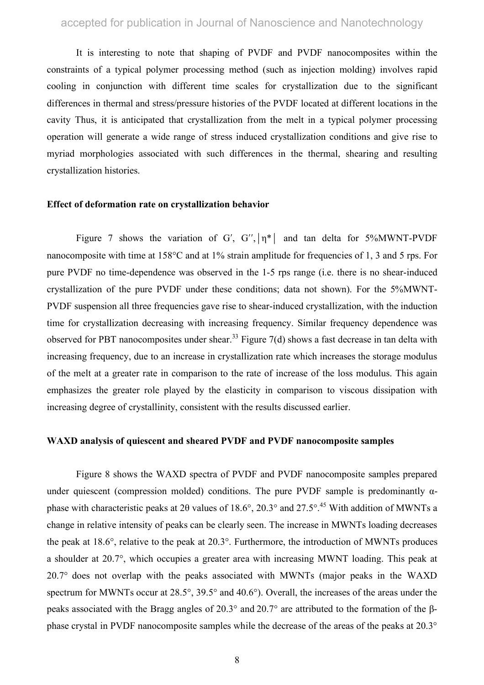It is interesting to note that shaping of PVDF and PVDF nanocomposites within the constraints of a typical polymer processing method (such as injection molding) involves rapid cooling in conjunction with different time scales for crystallization due to the significant differences in thermal and stress/pressure histories of the PVDF located at different locations in the cavity Thus, it is anticipated that crystallization from the melt in a typical polymer processing operation will generate a wide range of stress induced crystallization conditions and give rise to myriad morphologies associated with such differences in the thermal, shearing and resulting crystallization histories.

### **Effect of deformation rate on crystallization behavior**

Figure 7 shows the variation of G', G'',  $|\eta^*|$  and tan delta for 5%MWNT-PVDF nanocomposite with time at 158°C and at 1% strain amplitude for frequencies of 1, 3 and 5 rps. For pure PVDF no time-dependence was observed in the 1-5 rps range (i.e. there is no shear-induced crystallization of the pure PVDF under these conditions; data not shown). For the 5%MWNT-PVDF suspension all three frequencies gave rise to shear-induced crystallization, with the induction time for crystallization decreasing with increasing frequency. Similar frequency dependence was observed for PBT nanocomposites under shear.<sup>33</sup> Figure 7(d) shows a fast decrease in tan delta with increasing frequency, due to an increase in crystallization rate which increases the storage modulus of the melt at a greater rate in comparison to the rate of increase of the loss modulus. This again emphasizes the greater role played by the elasticity in comparison to viscous dissipation with increasing degree of crystallinity, consistent with the results discussed earlier.

#### **WAXD analysis of quiescent and sheared PVDF and PVDF nanocomposite samples**

Figure 8 shows the WAXD spectra of PVDF and PVDF nanocomposite samples prepared under quiescent (compression molded) conditions. The pure PVDF sample is predominantly  $\alpha$ phase with characteristic peaks at 2 $\theta$  values of 18.6°, 20.3° and 27.5°.<sup>45</sup> With addition of MWNTs a change in relative intensity of peaks can be clearly seen. The increase in MWNTs loading decreases the peak at 18.6°, relative to the peak at 20.3°. Furthermore, the introduction of MWNTs produces a shoulder at 20.7°, which occupies a greater area with increasing MWNT loading. This peak at 20.7° does not overlap with the peaks associated with MWNTs (major peaks in the WAXD spectrum for MWNTs occur at 28.5°, 39.5° and 40.6°). Overall, the increases of the areas under the peaks associated with the Bragg angles of 20.3° and 20.7° are attributed to the formation of the βphase crystal in PVDF nanocomposite samples while the decrease of the areas of the peaks at 20.3°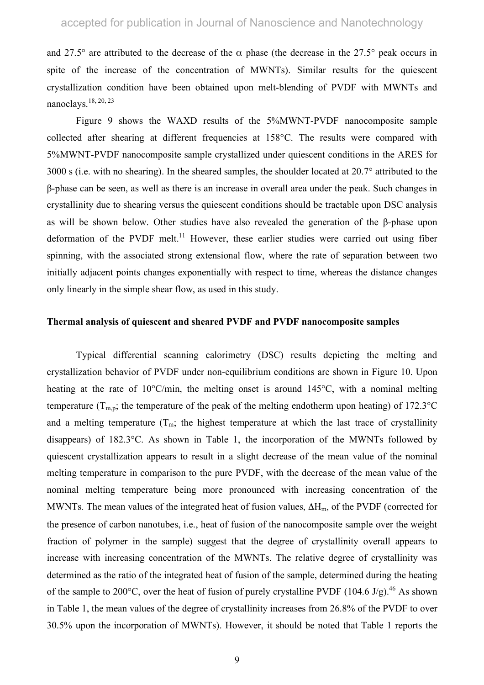and 27.5° are attributed to the decrease of the  $\alpha$  phase (the decrease in the 27.5° peak occurs in spite of the increase of the concentration of MWNTs). Similar results for the quiescent crystallization condition have been obtained upon melt-blending of PVDF with MWNTs and nanoclays.18, 20, 23

Figure 9 shows the WAXD results of the 5%MWNT-PVDF nanocomposite sample collected after shearing at different frequencies at 158°C. The results were compared with 5%MWNT-PVDF nanocomposite sample crystallized under quiescent conditions in the ARES for 3000 s (i.e. with no shearing). In the sheared samples, the shoulder located at 20.7° attributed to the β-phase can be seen, as well as there is an increase in overall area under the peak. Such changes in crystallinity due to shearing versus the quiescent conditions should be tractable upon DSC analysis as will be shown below. Other studies have also revealed the generation of the β-phase upon deformation of the PVDF melt.<sup>11</sup> However, these earlier studies were carried out using fiber spinning, with the associated strong extensional flow, where the rate of separation between two initially adjacent points changes exponentially with respect to time, whereas the distance changes only linearly in the simple shear flow, as used in this study.

### **Thermal analysis of quiescent and sheared PVDF and PVDF nanocomposite samples**

Typical differential scanning calorimetry (DSC) results depicting the melting and crystallization behavior of PVDF under non-equilibrium conditions are shown in Figure 10. Upon heating at the rate of 10°C/min, the melting onset is around 145°C, with a nominal melting temperature ( $T_{m,p}$ ; the temperature of the peak of the melting endotherm upon heating) of 172.3°C and a melting temperature  $(T_m;$  the highest temperature at which the last trace of crystallinity disappears) of 182.3°C. As shown in Table 1, the incorporation of the MWNTs followed by quiescent crystallization appears to result in a slight decrease of the mean value of the nominal melting temperature in comparison to the pure PVDF, with the decrease of the mean value of the nominal melting temperature being more pronounced with increasing concentration of the MWNTs. The mean values of the integrated heat of fusion values,  $\Delta H_m$ , of the PVDF (corrected for the presence of carbon nanotubes, i.e., heat of fusion of the nanocomposite sample over the weight fraction of polymer in the sample) suggest that the degree of crystallinity overall appears to increase with increasing concentration of the MWNTs. The relative degree of crystallinity was determined as the ratio of the integrated heat of fusion of the sample, determined during the heating of the sample to 200°C, over the heat of fusion of purely crystalline PVDF (104.6 J/g).<sup>46</sup> As shown in Table 1, the mean values of the degree of crystallinity increases from 26.8% of the PVDF to over 30.5% upon the incorporation of MWNTs). However, it should be noted that Table 1 reports the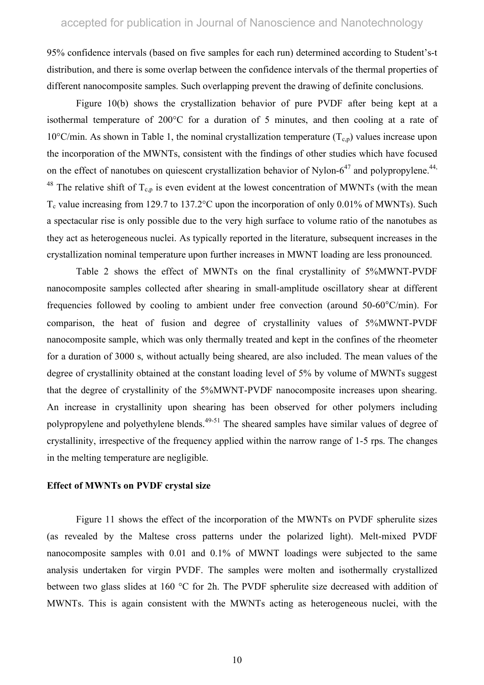95% confidence intervals (based on five samples for each run) determined according to Student's-t distribution, and there is some overlap between the confidence intervals of the thermal properties of different nanocomposite samples. Such overlapping prevent the drawing of definite conclusions.

Figure 10(b) shows the crystallization behavior of pure PVDF after being kept at a isothermal temperature of 200°C for a duration of 5 minutes, and then cooling at a rate of 10°C/min. As shown in Table 1, the nominal crystallization temperature  $(T_{c,p})$  values increase upon the incorporation of the MWNTs, consistent with the findings of other studies which have focused on the effect of nanotubes on quiescent crystallization behavior of Nylon- $6^{47}$  and polypropylene.<sup>44,</sup> <sup>48</sup> The relative shift of  $T_{c,p}$  is even evident at the lowest concentration of MWNTs (with the mean  $T_c$  value increasing from 129.7 to 137.2°C upon the incorporation of only 0.01% of MWNTs). Such a spectacular rise is only possible due to the very high surface to volume ratio of the nanotubes as they act as heterogeneous nuclei. As typically reported in the literature, subsequent increases in the crystallization nominal temperature upon further increases in MWNT loading are less pronounced.

Table 2 shows the effect of MWNTs on the final crystallinity of 5%MWNT-PVDF nanocomposite samples collected after shearing in small-amplitude oscillatory shear at different frequencies followed by cooling to ambient under free convection (around 50-60°C/min). For comparison, the heat of fusion and degree of crystallinity values of 5%MWNT-PVDF nanocomposite sample, which was only thermally treated and kept in the confines of the rheometer for a duration of 3000 s, without actually being sheared, are also included. The mean values of the degree of crystallinity obtained at the constant loading level of 5% by volume of MWNTs suggest that the degree of crystallinity of the 5%MWNT-PVDF nanocomposite increases upon shearing. An increase in crystallinity upon shearing has been observed for other polymers including polypropylene and polyethylene blends.<sup>49-51</sup> The sheared samples have similar values of degree of crystallinity, irrespective of the frequency applied within the narrow range of 1-5 rps. The changes in the melting temperature are negligible.

### **Effect of MWNTs on PVDF crystal size**

Figure 11 shows the effect of the incorporation of the MWNTs on PVDF spherulite sizes (as revealed by the Maltese cross patterns under the polarized light). Melt-mixed PVDF nanocomposite samples with 0.01 and 0.1% of MWNT loadings were subjected to the same analysis undertaken for virgin PVDF. The samples were molten and isothermally crystallized between two glass slides at 160 °C for 2h. The PVDF spherulite size decreased with addition of MWNTs. This is again consistent with the MWNTs acting as heterogeneous nuclei, with the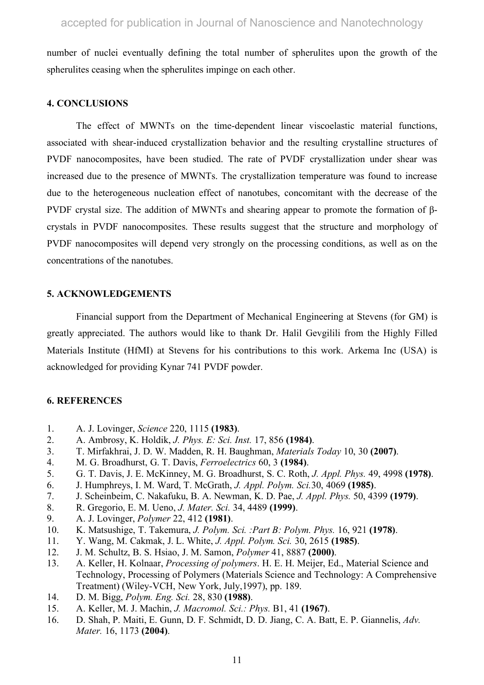number of nuclei eventually defining the total number of spherulites upon the growth of the spherulites ceasing when the spherulites impinge on each other.

## **4. CONCLUSIONS**

The effect of MWNTs on the time-dependent linear viscoelastic material functions, associated with shear-induced crystallization behavior and the resulting crystalline structures of PVDF nanocomposites, have been studied. The rate of PVDF crystallization under shear was increased due to the presence of MWNTs. The crystallization temperature was found to increase due to the heterogeneous nucleation effect of nanotubes, concomitant with the decrease of the PVDF crystal size. The addition of MWNTs and shearing appear to promote the formation of βcrystals in PVDF nanocomposites. These results suggest that the structure and morphology of PVDF nanocomposites will depend very strongly on the processing conditions, as well as on the concentrations of the nanotubes.

## **5. ACKNOWLEDGEMENTS**

Financial support from the Department of Mechanical Engineering at Stevens (for GM) is greatly appreciated. The authors would like to thank Dr. Halil Gevgilili from the Highly Filled Materials Institute (HfMI) at Stevens for his contributions to this work. Arkema Inc (USA) is acknowledged for providing Kynar 741 PVDF powder.

## **6. REFERENCES**

- 1. A. J. Lovinger, *Science* 220, 1115 **(1983)**.
- 2. A. Ambrosy, K. Holdik, *J. Phys. E: Sci. Inst.* 17, 856 **(1984)**.
- 3. T. Mirfakhrai, J. D. W. Madden, R. H. Baughman, *Materials Today* 10, 30 **(2007)**.
- 4. M. G. Broadhurst, G. T. Davis, *Ferroelectrics* 60, 3 **(1984)**.
- 5. G. T. Davis, J. E. McKinney, M. G. Broadhurst, S. C. Roth, *J. Appl. Phys.* 49, 4998 **(1978)**.
- 6. J. Humphreys, I. M. Ward, T. McGrath, *J. Appl. Polym. Sci.*30, 4069 **(1985)**.
- 7. J. Scheinbeim, C. Nakafuku, B. A. Newman, K. D. Pae, *J. Appl. Phys.* 50, 4399 **(1979)**.
- 8. R. Gregorio, E. M. Ueno, *J. Mater. Sci.* 34, 4489 **(1999)**.
- 9. A. J. Lovinger, *Polymer* 22, 412 **(1981)**.
- 10. K. Matsushige, T. Takemura, *J. Polym. Sci. :Part B: Polym. Phys.* 16, 921 **(1978)**.
- 11. Y. Wang, M. Cakmak, J. L. White, *J. Appl. Polym. Sci.* 30, 2615 **(1985)**.
- 12. J. M. Schultz, B. S. Hsiao, J. M. Samon, *Polymer* 41, 8887 **(2000)**.
- 13. A. Keller, H. Kolnaar, *Processing of polymers*. H. E. H. Meijer, Ed., Material Science and Technology, Processing of Polymers (Materials Science and Technology: A Comprehensive Treatment) (Wiley-VCH, New York, July,1997), pp. 189.
- 14. D. M. Bigg, *Polym. Eng. Sci.* 28, 830 **(1988)**.
- 15. A. Keller, M. J. Machin, *J. Macromol. Sci.: Phys.* B1, 41 **(1967)**.
- 16. D. Shah, P. Maiti, E. Gunn, D. F. Schmidt, D. D. Jiang, C. A. Batt, E. P. Giannelis, *Adv. Mater.* 16, 1173 **(2004)**.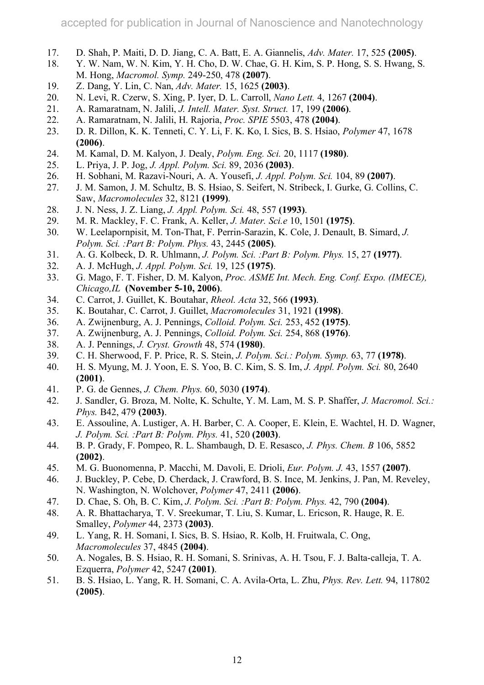- 17. D. Shah, P. Maiti, D. D. Jiang, C. A. Batt, E. A. Giannelis, *Adv. Mater.* 17, 525 **(2005)**.
- 18. Y. W. Nam, W. N. Kim, Y. H. Cho, D. W. Chae, G. H. Kim, S. P. Hong, S. S. Hwang, S. M. Hong, *Macromol. Symp.* 249-250, 478 **(2007)**.
- 19. Z. Dang, Y. Lin, C. Nan, *Adv. Mater.* 15, 1625 **(2003)**.
- 20. N. Levi, R. Czerw, S. Xing, P. Iyer, D. L. Carroll, *Nano Lett.* 4, 1267 **(2004)**.
- 21. A. Ramaratnam, N. Jalili, *J. Intell. Mater. Syst. Struct.* 17, 199 **(2006)**.
- 22. A. Ramaratnam, N. Jalili, H. Rajoria, *Proc. SPIE* 5503, 478 **(2004)**.
- 23. D. R. Dillon, K. K. Tenneti, C. Y. Li, F. K. Ko, I. Sics, B. S. Hsiao, *Polymer* 47, 1678 **(2006)**.
- 24. M. Kamal, D. M. Kalyon, J. Dealy, *Polym. Eng. Sci.* 20, 1117 **(1980)**.
- 25. L. Priya, J. P. Jog, *J. Appl. Polym. Sci.* 89, 2036 **(2003)**.
- 26. H. Sobhani, M. Razavi-Nouri, A. A. Yousefi, *J. Appl. Polym. Sci.* 104, 89 **(2007)**.
- 27. J. M. Samon, J. M. Schultz, B. S. Hsiao, S. Seifert, N. Stribeck, I. Gurke, G. Collins, C. Saw, *Macromolecules* 32, 8121 **(1999)**.
- 28. J. N. Ness, J. Z. Liang, *J. Appl. Polym. Sci.* 48, 557 **(1993)**.
- 29. M. R. Mackley, F. C. Frank, A. Keller, *J. Mater. Sci.e* 10, 1501 **(1975)**.
- 30. W. Leelapornpisit, M. Ton-That, F. Perrin-Sarazin, K. Cole, J. Denault, B. Simard, *J. Polym. Sci. :Part B: Polym. Phys.* 43, 2445 **(2005)**.
- 31. A. G. Kolbeck, D. R. Uhlmann, *J. Polym. Sci. :Part B: Polym. Phys.* 15, 27 **(1977)**.
- 32. A. J. McHugh, *J. Appl. Polym. Sci.* 19, 125 **(1975)**.
- 33. G. Mago, F. T. Fisher, D. M. Kalyon, *Proc. ASME Int. Mech. Eng. Conf. Expo. (IMECE), Chicago,IL* **(November 5-10, 2006)**.
- 34. C. Carrot, J. Guillet, K. Boutahar, *Rheol. Acta* 32, 566 **(1993)**.
- 35. K. Boutahar, C. Carrot, J. Guillet, *Macromolecules* 31, 1921 **(1998)**.
- 36. A. Zwijnenburg, A. J. Pennings, *Colloid. Polym. Sci.* 253, 452 **(1975)**.
- 37. A. Zwijnenburg, A. J. Pennings, *Colloid. Polym. Sci.* 254, 868 **(1976)**.
- 38. A. J. Pennings, *J. Cryst. Growth* 48, 574 **(1980)**.
- 39. C. H. Sherwood, F. P. Price, R. S. Stein, *J. Polym. Sci.: Polym. Symp.* 63, 77 **(1978)**.
- 40. H. S. Myung, M. J. Yoon, E. S. Yoo, B. C. Kim, S. S. Im, *J. Appl. Polym. Sci.* 80, 2640 **(2001)**.
- 41. P. G. de Gennes, *J. Chem. Phys.* 60, 5030 **(1974)**.
- 42. J. Sandler, G. Broza, M. Nolte, K. Schulte, Y. M. Lam, M. S. P. Shaffer, *J. Macromol. Sci.: Phys.* B42, 479 **(2003)**.
- 43. E. Assouline, A. Lustiger, A. H. Barber, C. A. Cooper, E. Klein, E. Wachtel, H. D. Wagner, *J. Polym. Sci. :Part B: Polym. Phys.* 41, 520 **(2003)**.
- 44. B. P. Grady, F. Pompeo, R. L. Shambaugh, D. E. Resasco, *J. Phys. Chem. B* 106, 5852 **(2002)**.
- 45. M. G. Buonomenna, P. Macchi, M. Davoli, E. Drioli, *Eur. Polym. J.* 43, 1557 **(2007)**.
- 46. J. Buckley, P. Cebe, D. Cherdack, J. Crawford, B. S. Ince, M. Jenkins, J. Pan, M. Reveley, N. Washington, N. Wolchover, *Polymer* 47, 2411 **(2006)**.
- 47. D. Chae, S. Oh, B. C. Kim, *J. Polym. Sci. :Part B: Polym. Phys.* 42, 790 **(2004)**.
- 48. A. R. Bhattacharya, T. V. Sreekumar, T. Liu, S. Kumar, L. Ericson, R. Hauge, R. E. Smalley, *Polymer* 44, 2373 **(2003)**.
- 49. L. Yang, R. H. Somani, I. Sics, B. S. Hsiao, R. Kolb, H. Fruitwala, C. Ong, *Macromolecules* 37, 4845 **(2004)**.
- 50. A. Nogales, B. S. Hsiao, R. H. Somani, S. Srinivas, A. H. Tsou, F. J. Balta-calleja, T. A. Ezquerra, *Polymer* 42, 5247 **(2001)**.
- 51. B. S. Hsiao, L. Yang, R. H. Somani, C. A. Avila-Orta, L. Zhu, *Phys. Rev. Lett.* 94, 117802 **(2005)**.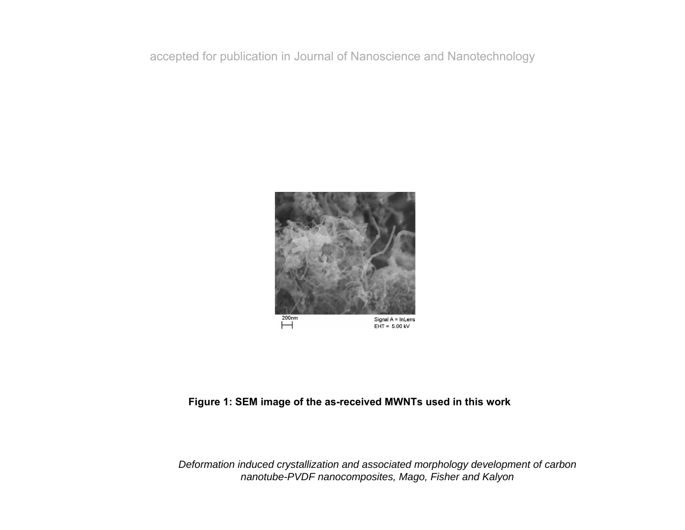

## **Figure 1: SEM image of the as-received MWNTs used in this work**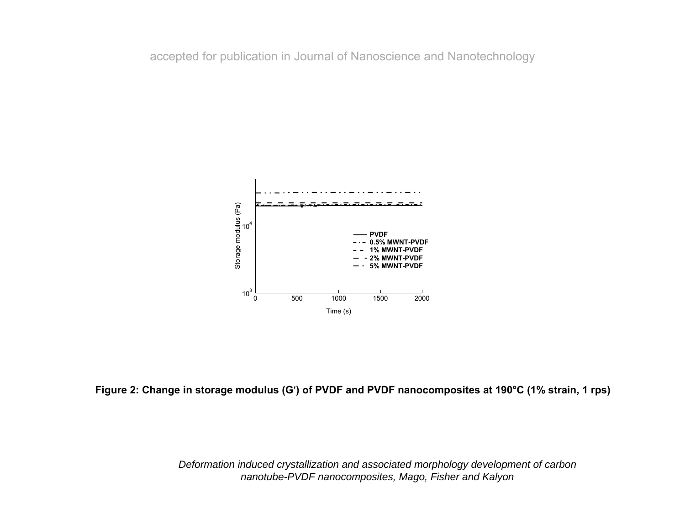

**Figure 2: Change in storage modulus (G**′**) of PVDF and PVDF nanocomposites at 190°C (1% strain, 1 rps)**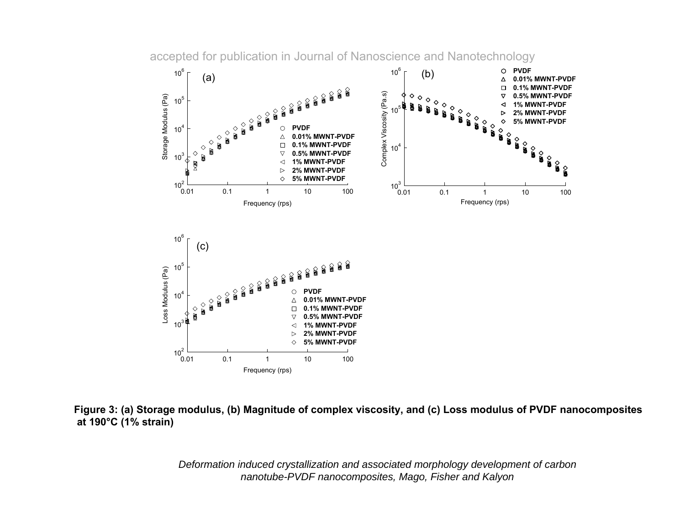accepted for publication in Journal of Nanoscience and Nanotechnology



**Figure 3: (a) Storage modulus, (b) Magnitude of complex viscosity, and (c) Loss modulus of PVDF nanocomposites at 190°C (1% strain)**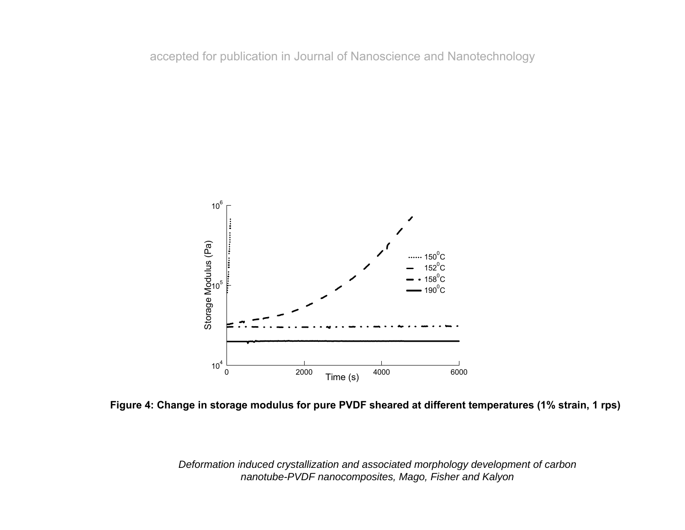

**Figure 4: Change in storage modulus for pure PVDF sheared at different temperatures (1% strain, 1 rps)**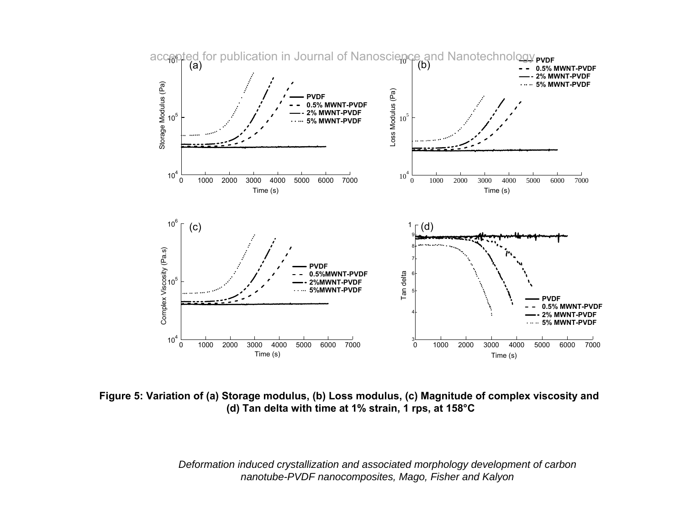

**Figure 5: Variation of (a) Storage modulus, (b) Loss modulus, (c) Magnitude of complex viscosity and (d) Tan delta with time at 1% strain, 1 rps, at 158°C**